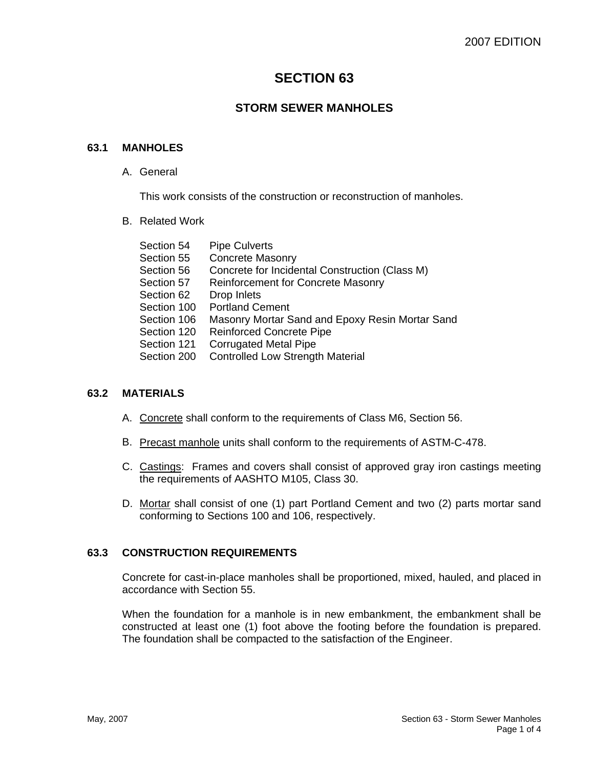# **SECTION 63**

# **STORM SEWER MANHOLES**

### **63.1 MANHOLES**

A. General

This work consists of the construction or reconstruction of manholes.

B. Related Work

| Section 54  | <b>Pipe Culverts</b>                            |
|-------------|-------------------------------------------------|
| Section 55  | <b>Concrete Masonry</b>                         |
| Section 56  | Concrete for Incidental Construction (Class M)  |
| Section 57  | <b>Reinforcement for Concrete Masonry</b>       |
| Section 62  | Drop Inlets                                     |
| Section 100 | <b>Portland Cement</b>                          |
| Section 106 | Masonry Mortar Sand and Epoxy Resin Mortar Sand |
| Section 120 | <b>Reinforced Concrete Pipe</b>                 |
| Section 121 | <b>Corrugated Metal Pipe</b>                    |
| Section 200 | <b>Controlled Low Strength Material</b>         |
|             |                                                 |

### **63.2 MATERIALS**

- A. Concrete shall conform to the requirements of Class M6, Section 56.
- B. Precast manhole units shall conform to the requirements of ASTM-C-478.
- C. Castings: Frames and covers shall consist of approved gray iron castings meeting the requirements of AASHTO M105, Class 30.
- D. Mortar shall consist of one (1) part Portland Cement and two (2) parts mortar sand conforming to Sections 100 and 106, respectively.

## **63.3 CONSTRUCTION REQUIREMENTS**

Concrete for cast-in-place manholes shall be proportioned, mixed, hauled, and placed in accordance with Section 55.

When the foundation for a manhole is in new embankment, the embankment shall be constructed at least one (1) foot above the footing before the foundation is prepared. The foundation shall be compacted to the satisfaction of the Engineer.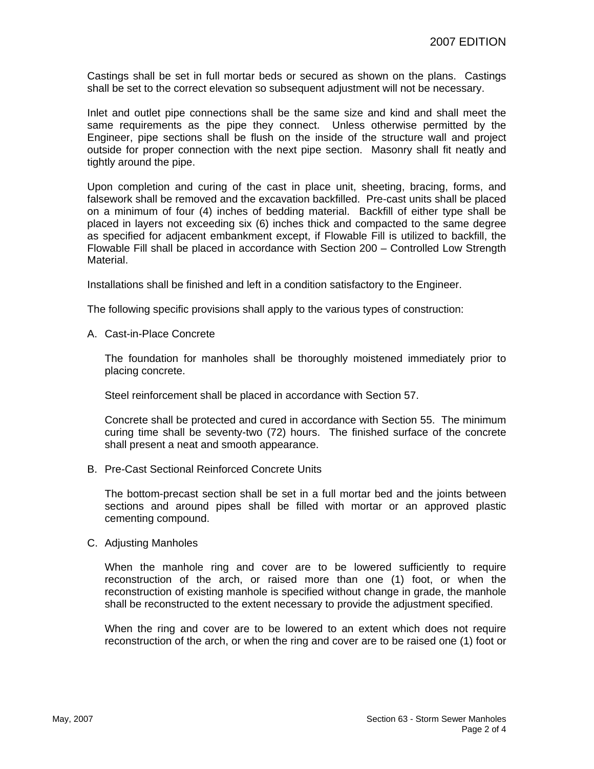Castings shall be set in full mortar beds or secured as shown on the plans. Castings shall be set to the correct elevation so subsequent adjustment will not be necessary.

Inlet and outlet pipe connections shall be the same size and kind and shall meet the same requirements as the pipe they connect. Unless otherwise permitted by the Engineer, pipe sections shall be flush on the inside of the structure wall and project outside for proper connection with the next pipe section. Masonry shall fit neatly and tightly around the pipe.

Upon completion and curing of the cast in place unit, sheeting, bracing, forms, and falsework shall be removed and the excavation backfilled. Pre-cast units shall be placed on a minimum of four (4) inches of bedding material. Backfill of either type shall be placed in layers not exceeding six (6) inches thick and compacted to the same degree as specified for adjacent embankment except, if Flowable Fill is utilized to backfill, the Flowable Fill shall be placed in accordance with Section 200 – Controlled Low Strength Material.

Installations shall be finished and left in a condition satisfactory to the Engineer.

The following specific provisions shall apply to the various types of construction:

A. Cast-in-Place Concrete

The foundation for manholes shall be thoroughly moistened immediately prior to placing concrete.

Steel reinforcement shall be placed in accordance with Section 57.

Concrete shall be protected and cured in accordance with Section 55. The minimum curing time shall be seventy-two (72) hours. The finished surface of the concrete shall present a neat and smooth appearance.

B. Pre-Cast Sectional Reinforced Concrete Units

The bottom-precast section shall be set in a full mortar bed and the joints between sections and around pipes shall be filled with mortar or an approved plastic cementing compound.

C. Adjusting Manholes

When the manhole ring and cover are to be lowered sufficiently to require reconstruction of the arch, or raised more than one (1) foot, or when the reconstruction of existing manhole is specified without change in grade, the manhole shall be reconstructed to the extent necessary to provide the adjustment specified.

When the ring and cover are to be lowered to an extent which does not require reconstruction of the arch, or when the ring and cover are to be raised one (1) foot or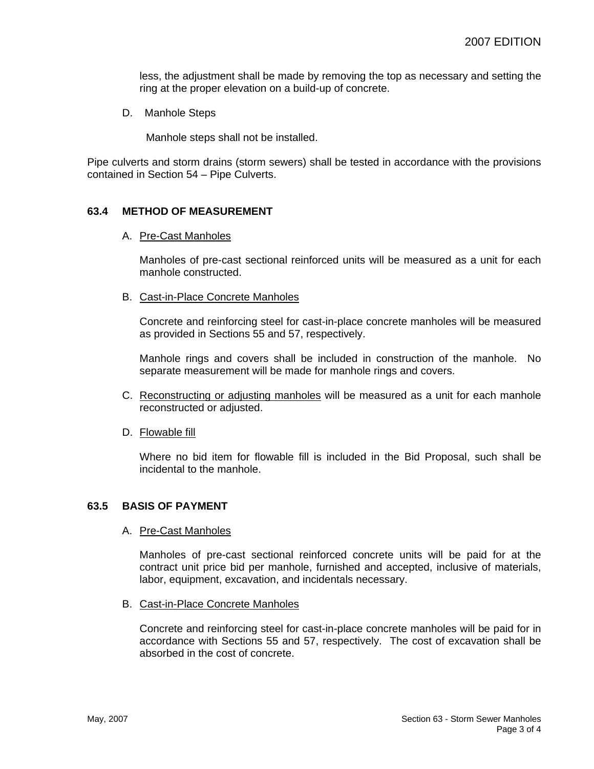less, the adjustment shall be made by removing the top as necessary and setting the ring at the proper elevation on a build-up of concrete.

D. Manhole Steps

Manhole steps shall not be installed.

Pipe culverts and storm drains (storm sewers) shall be tested in accordance with the provisions contained in Section 54 – Pipe Culverts.

### **63.4 METHOD OF MEASUREMENT**

A. Pre-Cast Manholes

Manholes of pre-cast sectional reinforced units will be measured as a unit for each manhole constructed.

B. Cast-in-Place Concrete Manholes

Concrete and reinforcing steel for cast-in-place concrete manholes will be measured as provided in Sections 55 and 57, respectively.

Manhole rings and covers shall be included in construction of the manhole. No separate measurement will be made for manhole rings and covers.

- C. Reconstructing or adjusting manholes will be measured as a unit for each manhole reconstructed or adjusted.
- D. Flowable fill

Where no bid item for flowable fill is included in the Bid Proposal, such shall be incidental to the manhole.

#### **63.5 BASIS OF PAYMENT**

#### A. Pre-Cast Manholes

Manholes of pre-cast sectional reinforced concrete units will be paid for at the contract unit price bid per manhole, furnished and accepted, inclusive of materials, labor, equipment, excavation, and incidentals necessary.

B. Cast-in-Place Concrete Manholes

Concrete and reinforcing steel for cast-in-place concrete manholes will be paid for in accordance with Sections 55 and 57, respectively. The cost of excavation shall be absorbed in the cost of concrete.